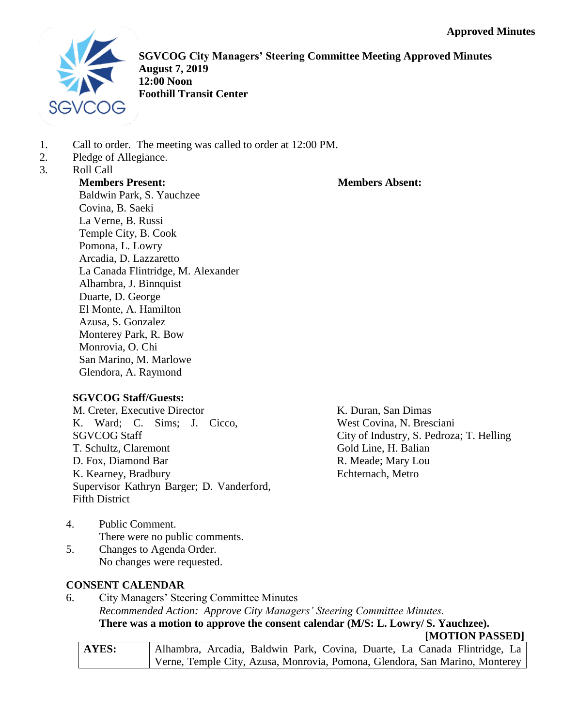

**SGVCOG City Managers' Steering Committee Meeting Approved Minutes August 7, 2019 12:00 Noon Foothill Transit Center**

- 1. Call to order. The meeting was called to order at 12:00 PM.
- 2. Pledge of Allegiance.
- 3. Roll Call

**Members Present:**

## **Members Absent:**

Baldwin Park, S. Yauchzee Covina, B. Saeki La Verne, B. Russi Temple City, B. Cook Pomona, L. Lowry Arcadia, D. Lazzaretto La Canada Flintridge, M. Alexander Alhambra, J. Binnquist Duarte, D. George El Monte, A. Hamilton Azusa, S. Gonzalez Monterey Park, R. Bow Monrovia, O. Chi San Marino, M. Marlowe Glendora, A. Raymond

## **SGVCOG Staff/Guests:**

M. Creter, Executive Director K. Ward; C. Sims; J. Cicco, SGVCOG Staff T. Schultz, Claremont D. Fox, Diamond Bar K. Kearney, Bradbury Supervisor Kathryn Barger; D. Vanderford, Fifth District

K. Duran, San Dimas West Covina, N. Bresciani City of Industry, S. Pedroza; T. Helling Gold Line, H. Balian R. Meade; Mary Lou Echternach, Metro

- 4. Public Comment. There were no public comments.
- 5. Changes to Agenda Order. No changes were requested.

# **CONSENT CALENDAR**

6. City Managers' Steering Committee Minutes *Recommended Action: Approve City Managers' Steering Committee Minutes.* **There was a motion to approve the consent calendar (M/S: L. Lowry/ S. Yauchzee). [MOTION PASSED]**

| <b>AYES:</b> | Alhambra, Arcadia, Baldwin Park, Covina, Duarte, La Canada Flintridge, La   |  |
|--------------|-----------------------------------------------------------------------------|--|
|              | Verne, Temple City, Azusa, Monrovia, Pomona, Glendora, San Marino, Monterey |  |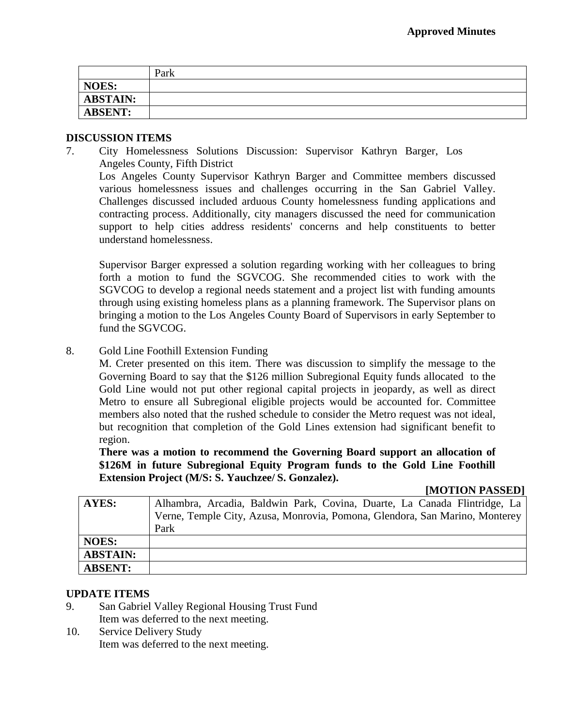|                | Park |
|----------------|------|
| <b>NOES:</b>   |      |
| ABSTAIN:       |      |
| <b>ABSENT:</b> |      |

### **DISCUSSION ITEMS**

7. City Homelessness Solutions Discussion: Supervisor Kathryn Barger, Los Angeles County, Fifth District Los Angeles County Supervisor Kathryn Barger and Committee members discussed various homelessness issues and challenges occurring in the San Gabriel Valley. Challenges discussed included arduous County homelessness funding applications and contracting process. Additionally, city managers discussed the need for communication support to help cities address residents' concerns and help constituents to better understand homelessness.

Supervisor Barger expressed a solution regarding working with her colleagues to bring forth a motion to fund the SGVCOG. She recommended cities to work with the SGVCOG to develop a regional needs statement and a project list with funding amounts through using existing homeless plans as a planning framework. The Supervisor plans on bringing a motion to the Los Angeles County Board of Supervisors in early September to fund the SGVCOG.

8. Gold Line Foothill Extension Funding

M. Creter presented on this item. There was discussion to simplify the message to the Governing Board to say that the \$126 million Subregional Equity funds allocated to the Gold Line would not put other regional capital projects in jeopardy, as well as direct Metro to ensure all Subregional eligible projects would be accounted for. Committee members also noted that the rushed schedule to consider the Metro request was not ideal, but recognition that completion of the Gold Lines extension had significant benefit to region.

**There was a motion to recommend the Governing Board support an allocation of \$126M in future Subregional Equity Program funds to the Gold Line Foothill Extension Project (M/S: S. Yauchzee/ S. Gonzalez).**

### **[MOTION PASSED]**

| <b>AYES:</b>    | Alhambra, Arcadia, Baldwin Park, Covina, Duarte, La Canada Flintridge, La   |
|-----------------|-----------------------------------------------------------------------------|
|                 | Verne, Temple City, Azusa, Monrovia, Pomona, Glendora, San Marino, Monterey |
|                 | Park                                                                        |
| <b>NOES:</b>    |                                                                             |
| <b>ABSTAIN:</b> |                                                                             |
| <b>ABSENT:</b>  |                                                                             |

### **UPDATE ITEMS**

- 9. San Gabriel Valley Regional Housing Trust Fund Item was deferred to the next meeting.
- 10. Service Delivery Study Item was deferred to the next meeting.